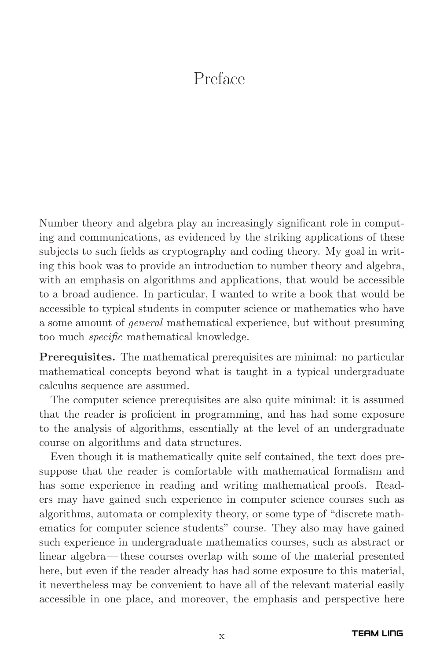## Preface

Number theory and algebra play an increasingly significant role in computing and communications, as evidenced by the striking applications of these subjects to such fields as cryptography and coding theory. My goal in writing this book was to provide an introduction to number theory and algebra, with an emphasis on algorithms and applications, that would be accessible to a broad audience. In particular, I wanted to write a book that would be accessible to typical students in computer science or mathematics who have a some amount of general mathematical experience, but without presuming too much specific mathematical knowledge.

**Prerequisites.** The mathematical prerequisites are minimal: no particular mathematical concepts beyond what is taught in a typical undergraduate calculus sequence are assumed.

The computer science prerequisites are also quite minimal: it is assumed that the reader is proficient in programming, and has had some exposure to the analysis of algorithms, essentially at the level of an undergraduate course on algorithms and data structures.

Even though it is mathematically quite self contained, the text does presuppose that the reader is comfortable with mathematical formalism and has some experience in reading and writing mathematical proofs. Readers may have gained such experience in computer science courses such as algorithms, automata or complexity theory, or some type of "discrete mathematics for computer science students" course. They also may have gained such experience in undergraduate mathematics courses, such as abstract or linear algebra— these courses overlap with some of the material presented here, but even if the reader already has had some exposure to this material, it nevertheless may be convenient to have all of the relevant material easily accessible in one place, and moreover, the emphasis and perspective here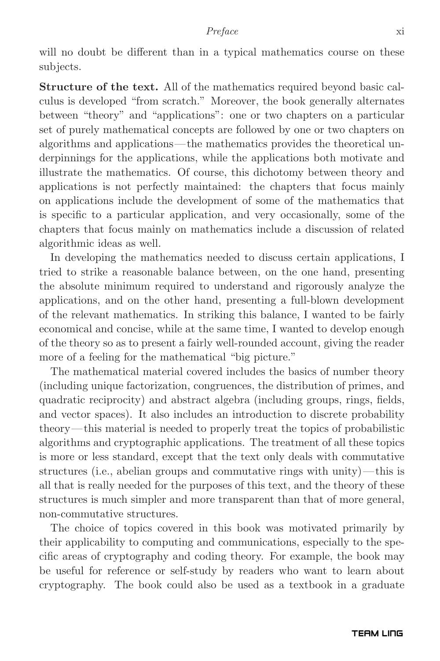will no doubt be different than in a typical mathematics course on these subjects.

**Structure of the text.** All of the mathematics required beyond basic calculus is developed "from scratch." Moreover, the book generally alternates between "theory" and "applications": one or two chapters on a particular set of purely mathematical concepts are followed by one or two chapters on algorithms and applications— the mathematics provides the theoretical underpinnings for the applications, while the applications both motivate and illustrate the mathematics. Of course, this dichotomy between theory and applications is not perfectly maintained: the chapters that focus mainly on applications include the development of some of the mathematics that is specific to a particular application, and very occasionally, some of the chapters that focus mainly on mathematics include a discussion of related algorithmic ideas as well.

In developing the mathematics needed to discuss certain applications, I tried to strike a reasonable balance between, on the one hand, presenting the absolute minimum required to understand and rigorously analyze the applications, and on the other hand, presenting a full-blown development of the relevant mathematics. In striking this balance, I wanted to be fairly economical and concise, while at the same time, I wanted to develop enough of the theory so as to present a fairly well-rounded account, giving the reader more of a feeling for the mathematical "big picture."

The mathematical material covered includes the basics of number theory (including unique factorization, congruences, the distribution of primes, and quadratic reciprocity) and abstract algebra (including groups, rings, fields, and vector spaces). It also includes an introduction to discrete probability theory— this material is needed to properly treat the topics of probabilistic algorithms and cryptographic applications. The treatment of all these topics is more or less standard, except that the text only deals with commutative structures (i.e., abelian groups and commutative rings with unity)— this is all that is really needed for the purposes of this text, and the theory of these structures is much simpler and more transparent than that of more general, non-commutative structures.

The choice of topics covered in this book was motivated primarily by their applicability to computing and communications, especially to the specific areas of cryptography and coding theory. For example, the book may be useful for reference or self-study by readers who want to learn about cryptography. The book could also be used as a textbook in a graduate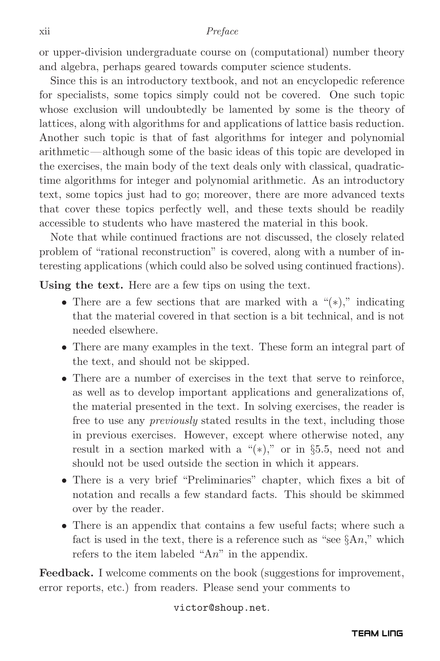## xii Preface

or upper-division undergraduate course on (computational) number theory and algebra, perhaps geared towards computer science students.

Since this is an introductory textbook, and not an encyclopedic reference for specialists, some topics simply could not be covered. One such topic whose exclusion will undoubtedly be lamented by some is the theory of lattices, along with algorithms for and applications of lattice basis reduction. Another such topic is that of fast algorithms for integer and polynomial arithmetic— although some of the basic ideas of this topic are developed in the exercises, the main body of the text deals only with classical, quadratictime algorithms for integer and polynomial arithmetic. As an introductory text, some topics just had to go; moreover, there are more advanced texts that cover these topics perfectly well, and these texts should be readily accessible to students who have mastered the material in this book.

Note that while continued fractions are not discussed, the closely related problem of "rational reconstruction" is covered, along with a number of interesting applications (which could also be solved using continued fractions).

**Using the text.** Here are a few tips on using the text.

- There are a few sections that are marked with a "(∗)," indicating that the material covered in that section is a bit technical, and is not needed elsewhere.
- There are many examples in the text. These form an integral part of the text, and should not be skipped.
- There are a number of exercises in the text that serve to reinforce, as well as to develop important applications and generalizations of, the material presented in the text. In solving exercises, the reader is free to use any previously stated results in the text, including those in previous exercises. However, except where otherwise noted, any result in a section marked with a " $(*)$ ," or in §5.5, need not and should not be used outside the section in which it appears.
- There is a very brief "Preliminaries" chapter, which fixes a bit of notation and recalls a few standard facts. This should be skimmed over by the reader.
- There is an appendix that contains a few useful facts; where such a fact is used in the text, there is a reference such as "see  $\S An$ ," which refers to the item labeled "An" in the appendix.

**Feedback.** I welcome comments on the book (suggestions for improvement, error reports, etc.) from readers. Please send your comments to

victor@shoup.net.